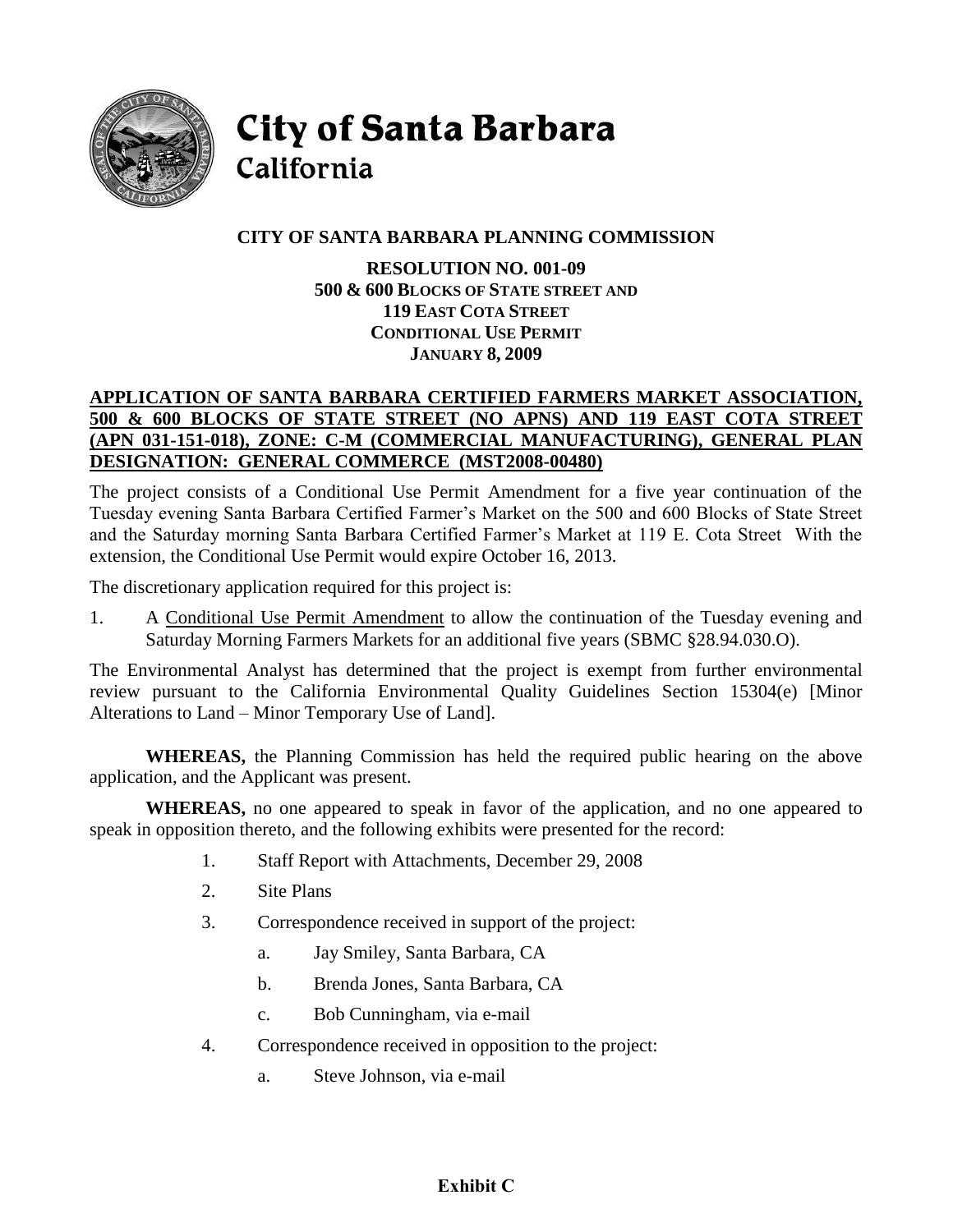

**City of Santa Barbara** 

# California

# **CITY OF SANTA BARBARA PLANNING COMMISSION**

**RESOLUTION NO. 001-09 500 & 600 BLOCKS OF STATE STREET AND 119 EAST COTA STREET CONDITIONAL USE PERMIT JANUARY 8, 2009** 

## **APPLICATION OF SANTA BARBARA CERTIFIED FARMERS MARKET ASSOCIATION, 500 & 600 BLOCKS OF STATE STREET (NO APNS) AND 119 EAST COTA STREET (APN 031-151-018), ZONE: C-M (COMMERCIAL MANUFACTURING), GENERAL PLAN DESIGNATION: GENERAL COMMERCE (MST2008-00480)**

The project consists of a Conditional Use Permit Amendment for a five year continuation of the Tuesday evening Santa Barbara Certified Farmer's Market on the 500 and 600 Blocks of State Street and the Saturday morning Santa Barbara Certified Farmer's Market at 119 E. Cota Street With the extension, the Conditional Use Permit would expire October 16, 2013.

The discretionary application required for this project is:

1. A Conditional Use Permit Amendment to allow the continuation of the Tuesday evening and Saturday Morning Farmers Markets for an additional five years (SBMC §28.94.030.O).

The Environmental Analyst has determined that the project is exempt from further environmental review pursuant to the California Environmental Quality Guidelines Section 15304(e) [Minor Alterations to Land – Minor Temporary Use of Land].

**WHEREAS,** the Planning Commission has held the required public hearing on the above application, and the Applicant was present.

**WHEREAS,** no one appeared to speak in favor of the application, and no one appeared to speak in opposition thereto, and the following exhibits were presented for the record:

- 1. Staff Report with Attachments, December 29, 2008
- 2. Site Plans
- 3. Correspondence received in support of the project:
	- a. Jay Smiley, Santa Barbara, CA
	- b. Brenda Jones, Santa Barbara, CA
	- c. Bob Cunningham, via e-mail
- 4. Correspondence received in opposition to the project:
	- a. Steve Johnson, via e-mail

# **Exhibit C**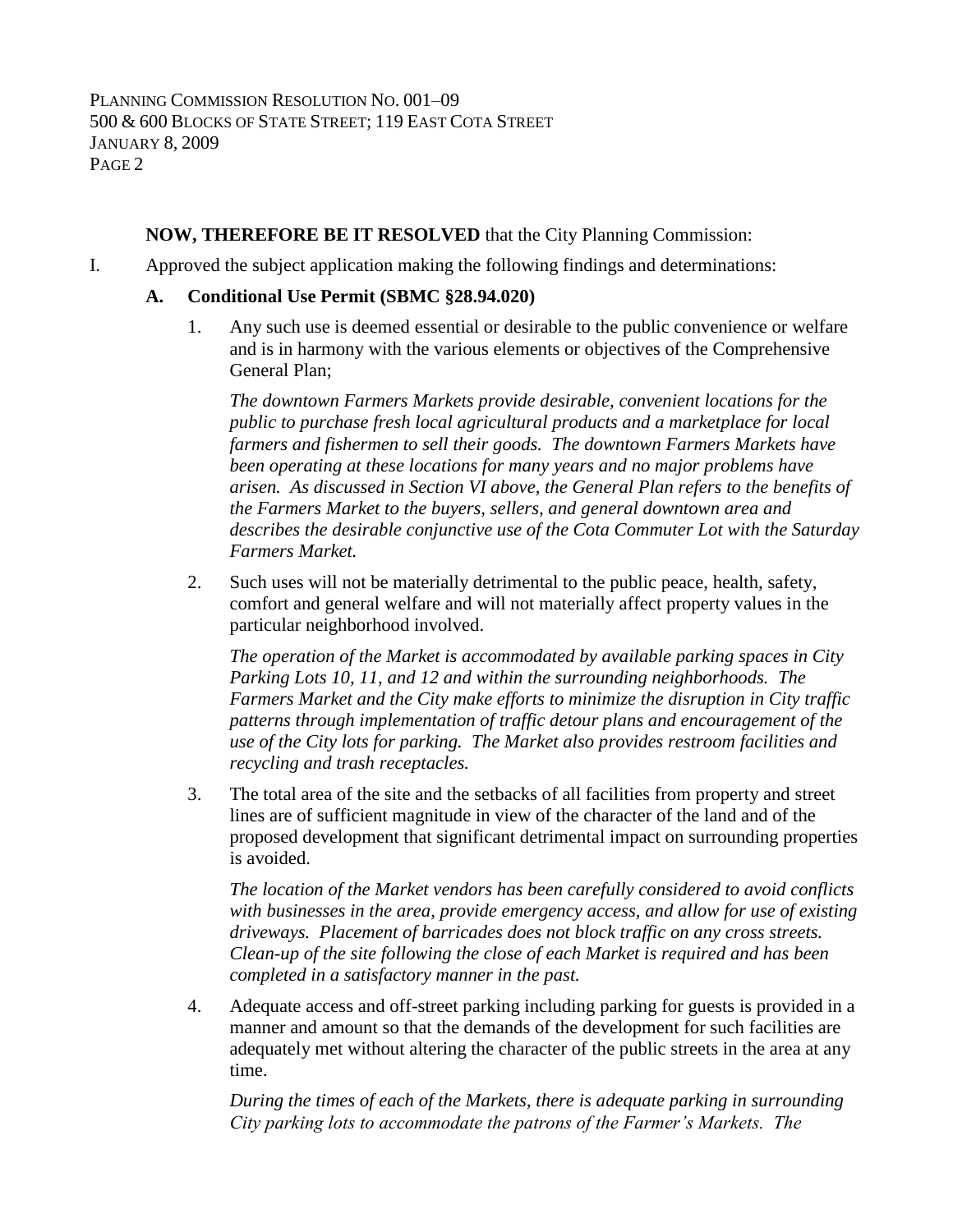# **NOW, THEREFORE BE IT RESOLVED** that the City Planning Commission:

I. Approved the subject application making the following findings and determinations:

#### **A. Conditional Use Permit (SBMC §28.94.020)**

1. Any such use is deemed essential or desirable to the public convenience or welfare and is in harmony with the various elements or objectives of the Comprehensive General Plan;

*The downtown Farmers Markets provide desirable, convenient locations for the public to purchase fresh local agricultural products and a marketplace for local farmers and fishermen to sell their goods. The downtown Farmers Markets have been operating at these locations for many years and no major problems have arisen. As discussed in Section VI above, the General Plan refers to the benefits of the Farmers Market to the buyers, sellers, and general downtown area and describes the desirable conjunctive use of the Cota Commuter Lot with the Saturday Farmers Market.*

2. Such uses will not be materially detrimental to the public peace, health, safety, comfort and general welfare and will not materially affect property values in the particular neighborhood involved.

*The operation of the Market is accommodated by available parking spaces in City Parking Lots 10, 11, and 12 and within the surrounding neighborhoods. The Farmers Market and the City make efforts to minimize the disruption in City traffic patterns through implementation of traffic detour plans and encouragement of the use of the City lots for parking. The Market also provides restroom facilities and recycling and trash receptacles.*

3. The total area of the site and the setbacks of all facilities from property and street lines are of sufficient magnitude in view of the character of the land and of the proposed development that significant detrimental impact on surrounding properties is avoided.

*The location of the Market vendors has been carefully considered to avoid conflicts with businesses in the area, provide emergency access, and allow for use of existing driveways. Placement of barricades does not block traffic on any cross streets. Clean-up of the site following the close of each Market is required and has been completed in a satisfactory manner in the past.*

4. Adequate access and off-street parking including parking for guests is provided in a manner and amount so that the demands of the development for such facilities are adequately met without altering the character of the public streets in the area at any time.

*During the times of each of the Markets, there is adequate parking in surrounding City parking lots to accommodate the patrons of the Farmer's Markets. The*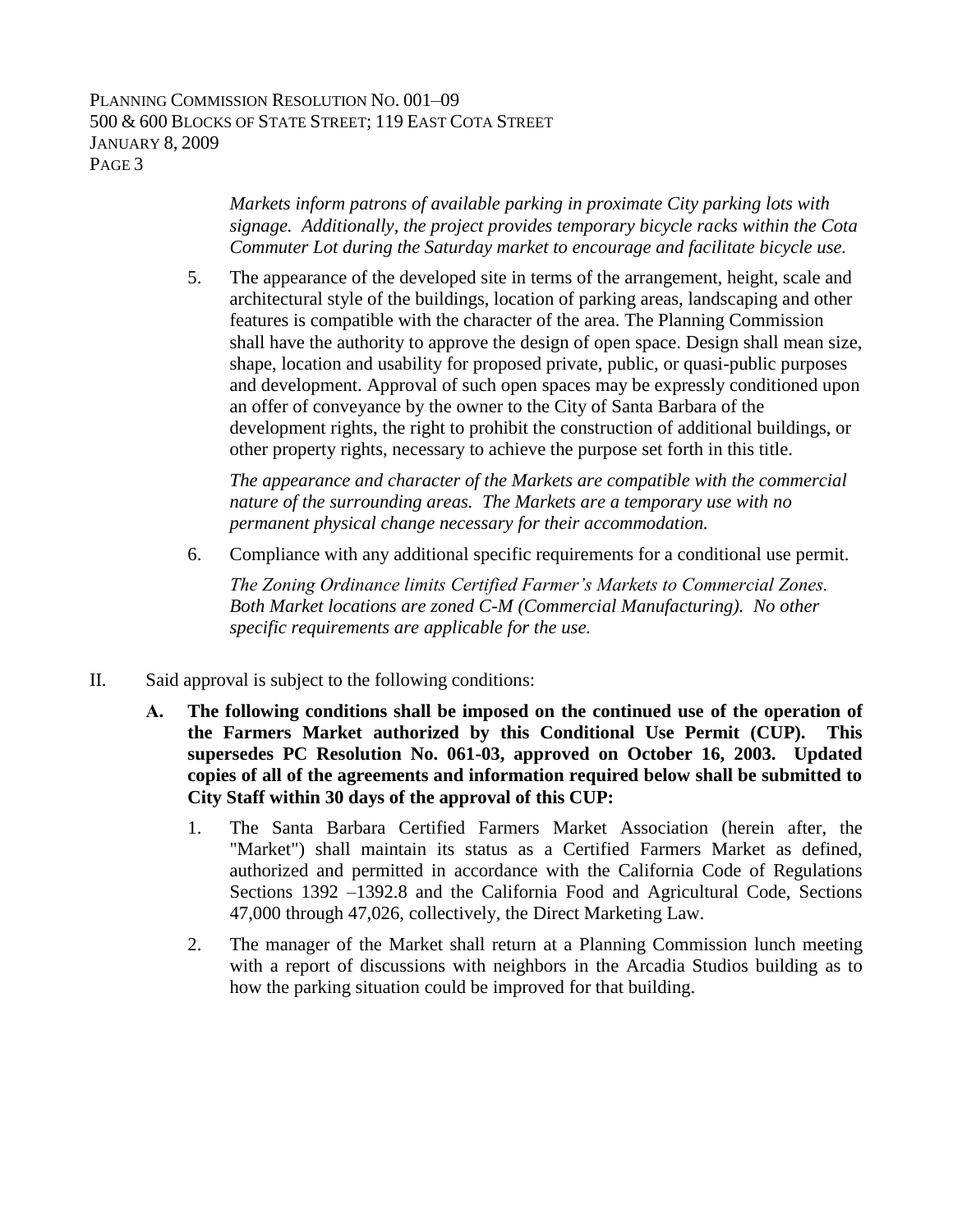PLANNING COMMISSION RESOLUTION NO. 001–09 500 & 600 BLOCKS OF STATE STREET; 119 EAST COTA STREET JANUARY 8, 2009 PAGE 3

> *Markets inform patrons of available parking in proximate City parking lots with signage. Additionally, the project provides temporary bicycle racks within the Cota Commuter Lot during the Saturday market to encourage and facilitate bicycle use.*

5. The appearance of the developed site in terms of the arrangement, height, scale and architectural style of the buildings, location of parking areas, landscaping and other features is compatible with the character of the area. The Planning Commission shall have the authority to approve the design of open space. Design shall mean size, shape, location and usability for proposed private, public, or quasi-public purposes and development. Approval of such open spaces may be expressly conditioned upon an offer of conveyance by the owner to the City of Santa Barbara of the development rights, the right to prohibit the construction of additional buildings, or other property rights, necessary to achieve the purpose set forth in this title.

*The appearance and character of the Markets are compatible with the commercial nature of the surrounding areas. The Markets are a temporary use with no permanent physical change necessary for their accommodation.* 

6. Compliance with any additional specific requirements for a conditional use permit.

*The Zoning Ordinance limits Certified Farmer's Markets to Commercial Zones. Both Market locations are zoned C-M (Commercial Manufacturing). No other specific requirements are applicable for the use.*

- II. Said approval is subject to the following conditions:
	- **A. The following conditions shall be imposed on the continued use of the operation of the Farmers Market authorized by this Conditional Use Permit (CUP). This supersedes PC Resolution No. 061-03, approved on October 16, 2003. Updated copies of all of the agreements and information required below shall be submitted to City Staff within 30 days of the approval of this CUP:**
		- 1. The Santa Barbara Certified Farmers Market Association (herein after, the "Market") shall maintain its status as a Certified Farmers Market as defined, authorized and permitted in accordance with the California Code of Regulations Sections 1392 –1392.8 and the California Food and Agricultural Code, Sections 47,000 through 47,026, collectively, the Direct Marketing Law.
		- 2. The manager of the Market shall return at a Planning Commission lunch meeting with a report of discussions with neighbors in the Arcadia Studios building as to how the parking situation could be improved for that building.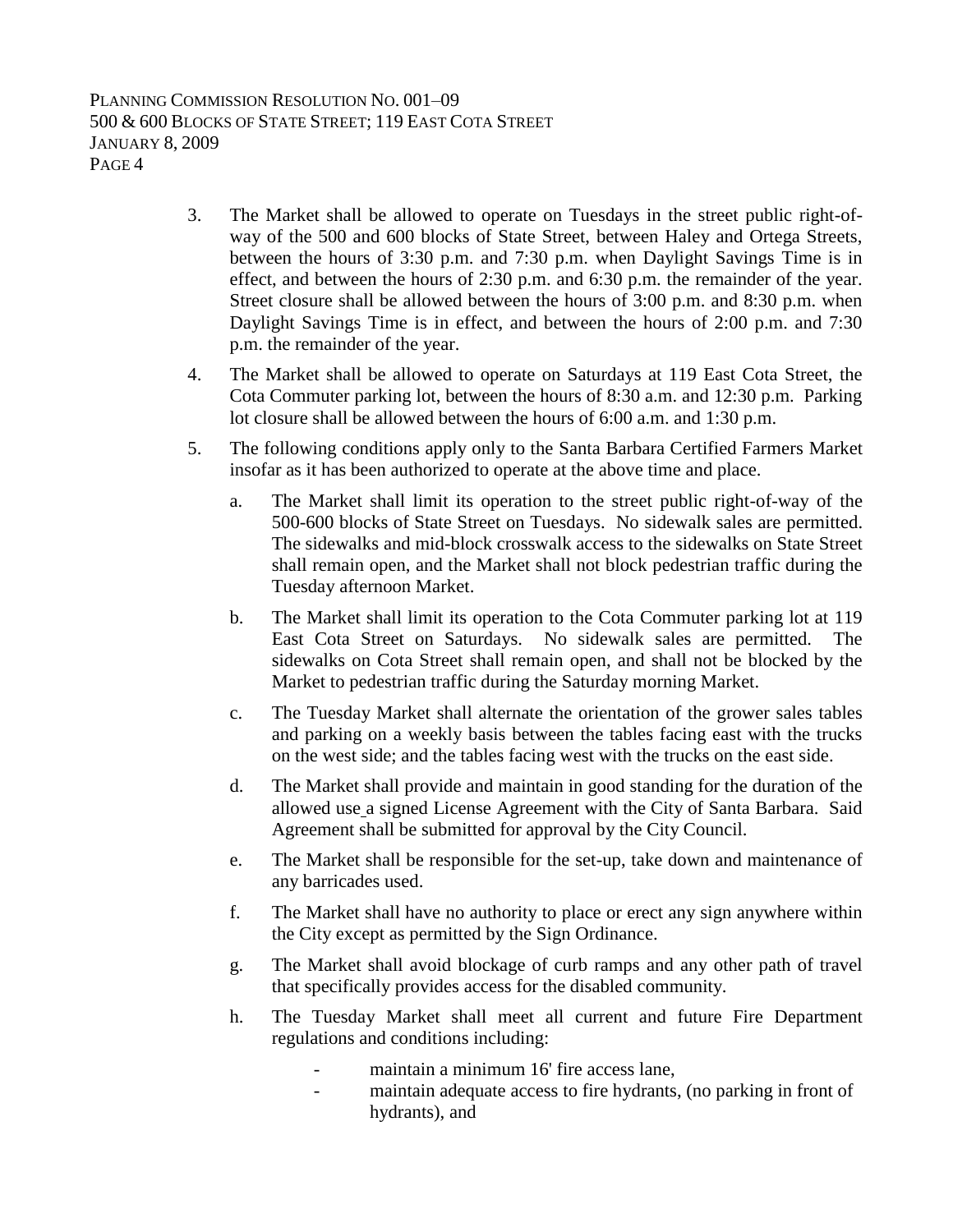PLANNING COMMISSION RESOLUTION NO. 001–09 500 & 600 BLOCKS OF STATE STREET; 119 EAST COTA STREET JANUARY 8, 2009 PAGE 4

- 3. The Market shall be allowed to operate on Tuesdays in the street public right-ofway of the 500 and 600 blocks of State Street, between Haley and Ortega Streets, between the hours of 3:30 p.m. and 7:30 p.m. when Daylight Savings Time is in effect, and between the hours of 2:30 p.m. and 6:30 p.m. the remainder of the year. Street closure shall be allowed between the hours of 3:00 p.m. and 8:30 p.m. when Daylight Savings Time is in effect, and between the hours of 2:00 p.m. and 7:30 p.m. the remainder of the year.
- 4. The Market shall be allowed to operate on Saturdays at 119 East Cota Street, the Cota Commuter parking lot, between the hours of 8:30 a.m. and 12:30 p.m. Parking lot closure shall be allowed between the hours of 6:00 a.m. and 1:30 p.m.
- 5. The following conditions apply only to the Santa Barbara Certified Farmers Market insofar as it has been authorized to operate at the above time and place.
	- a. The Market shall limit its operation to the street public right-of-way of the 500-600 blocks of State Street on Tuesdays. No sidewalk sales are permitted. The sidewalks and mid-block crosswalk access to the sidewalks on State Street shall remain open, and the Market shall not block pedestrian traffic during the Tuesday afternoon Market.
	- b. The Market shall limit its operation to the Cota Commuter parking lot at 119 East Cota Street on Saturdays. No sidewalk sales are permitted. The sidewalks on Cota Street shall remain open, and shall not be blocked by the Market to pedestrian traffic during the Saturday morning Market.
	- c. The Tuesday Market shall alternate the orientation of the grower sales tables and parking on a weekly basis between the tables facing east with the trucks on the west side; and the tables facing west with the trucks on the east side.
	- d. The Market shall provide and maintain in good standing for the duration of the allowed use a signed License Agreement with the City of Santa Barbara. Said Agreement shall be submitted for approval by the City Council.
	- e. The Market shall be responsible for the set-up, take down and maintenance of any barricades used.
	- f. The Market shall have no authority to place or erect any sign anywhere within the City except as permitted by the Sign Ordinance.
	- g. The Market shall avoid blockage of curb ramps and any other path of travel that specifically provides access for the disabled community.
	- h. The Tuesday Market shall meet all current and future Fire Department regulations and conditions including:
		- maintain a minimum 16' fire access lane,
		- maintain adequate access to fire hydrants, (no parking in front of hydrants), and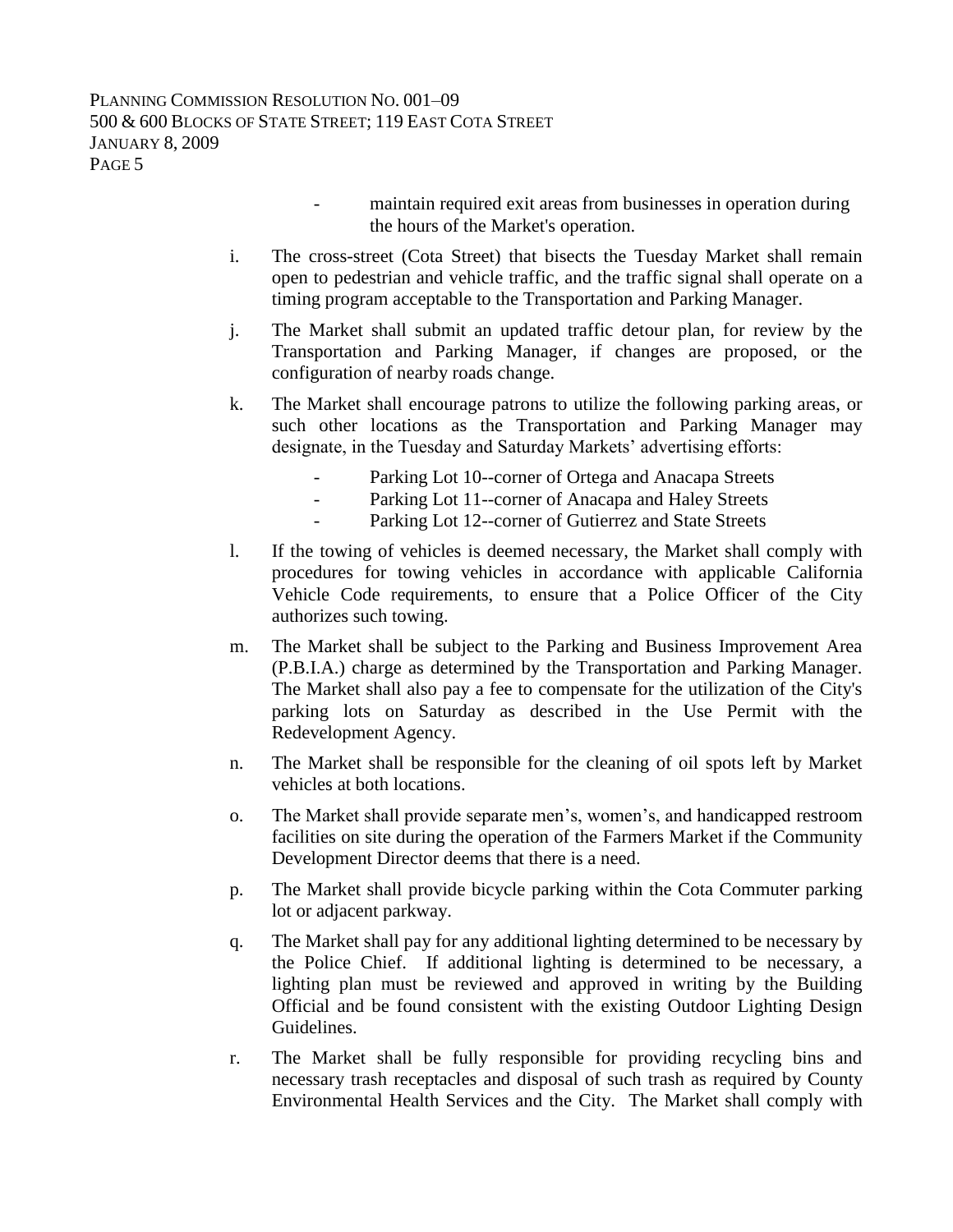- maintain required exit areas from businesses in operation during the hours of the Market's operation.
- i. The cross-street (Cota Street) that bisects the Tuesday Market shall remain open to pedestrian and vehicle traffic, and the traffic signal shall operate on a timing program acceptable to the Transportation and Parking Manager.
- j. The Market shall submit an updated traffic detour plan, for review by the Transportation and Parking Manager, if changes are proposed, or the configuration of nearby roads change.
- k. The Market shall encourage patrons to utilize the following parking areas, or such other locations as the Transportation and Parking Manager may designate, in the Tuesday and Saturday Markets' advertising efforts:
	- Parking Lot 10--corner of Ortega and Anacapa Streets
	- Parking Lot 11--corner of Anacapa and Haley Streets
	- Parking Lot 12--corner of Gutierrez and State Streets
- l. If the towing of vehicles is deemed necessary, the Market shall comply with procedures for towing vehicles in accordance with applicable California Vehicle Code requirements, to ensure that a Police Officer of the City authorizes such towing.
- m. The Market shall be subject to the Parking and Business Improvement Area (P.B.I.A.) charge as determined by the Transportation and Parking Manager. The Market shall also pay a fee to compensate for the utilization of the City's parking lots on Saturday as described in the Use Permit with the Redevelopment Agency.
- n. The Market shall be responsible for the cleaning of oil spots left by Market vehicles at both locations.
- o. The Market shall provide separate men's, women's, and handicapped restroom facilities on site during the operation of the Farmers Market if the Community Development Director deems that there is a need.
- p. The Market shall provide bicycle parking within the Cota Commuter parking lot or adjacent parkway.
- q. The Market shall pay for any additional lighting determined to be necessary by the Police Chief. If additional lighting is determined to be necessary, a lighting plan must be reviewed and approved in writing by the Building Official and be found consistent with the existing Outdoor Lighting Design Guidelines.
- r. The Market shall be fully responsible for providing recycling bins and necessary trash receptacles and disposal of such trash as required by County Environmental Health Services and the City. The Market shall comply with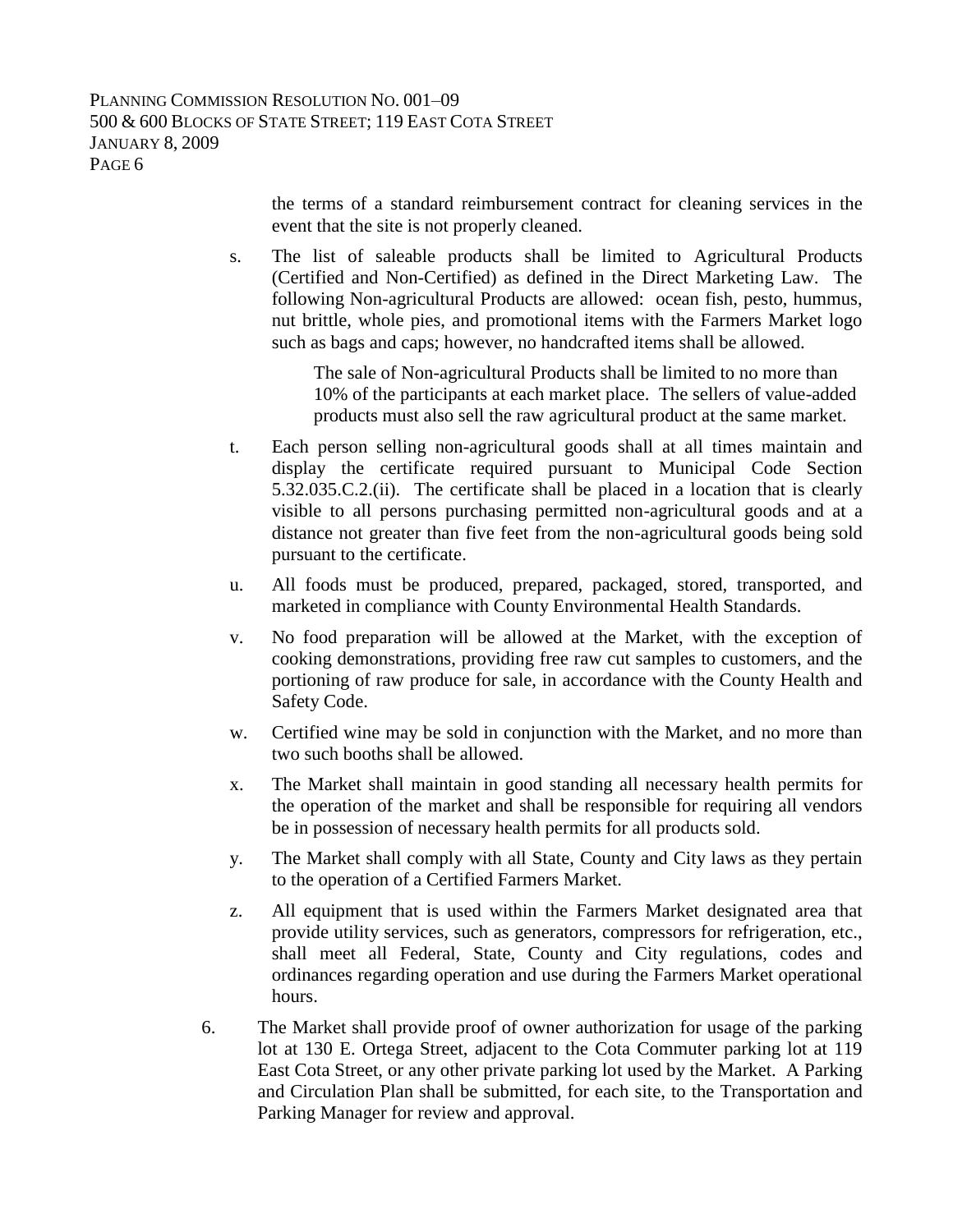the terms of a standard reimbursement contract for cleaning services in the event that the site is not properly cleaned.

s. The list of saleable products shall be limited to Agricultural Products (Certified and Non-Certified) as defined in the Direct Marketing Law. The following Non-agricultural Products are allowed: ocean fish, pesto, hummus, nut brittle, whole pies, and promotional items with the Farmers Market logo such as bags and caps; however, no handcrafted items shall be allowed.

> The sale of Non-agricultural Products shall be limited to no more than 10% of the participants at each market place. The sellers of value-added products must also sell the raw agricultural product at the same market.

- t. Each person selling non-agricultural goods shall at all times maintain and display the certificate required pursuant to Municipal Code Section 5.32.035.C.2.(ii). The certificate shall be placed in a location that is clearly visible to all persons purchasing permitted non-agricultural goods and at a distance not greater than five feet from the non-agricultural goods being sold pursuant to the certificate.
- u. All foods must be produced, prepared, packaged, stored, transported, and marketed in compliance with County Environmental Health Standards.
- v. No food preparation will be allowed at the Market, with the exception of cooking demonstrations, providing free raw cut samples to customers, and the portioning of raw produce for sale, in accordance with the County Health and Safety Code.
- w. Certified wine may be sold in conjunction with the Market, and no more than two such booths shall be allowed.
- x. The Market shall maintain in good standing all necessary health permits for the operation of the market and shall be responsible for requiring all vendors be in possession of necessary health permits for all products sold.
- y. The Market shall comply with all State, County and City laws as they pertain to the operation of a Certified Farmers Market.
- z. All equipment that is used within the Farmers Market designated area that provide utility services, such as generators, compressors for refrigeration, etc., shall meet all Federal, State, County and City regulations, codes and ordinances regarding operation and use during the Farmers Market operational hours.
- 6. The Market shall provide proof of owner authorization for usage of the parking lot at 130 E. Ortega Street, adjacent to the Cota Commuter parking lot at 119 East Cota Street, or any other private parking lot used by the Market. A Parking and Circulation Plan shall be submitted, for each site, to the Transportation and Parking Manager for review and approval.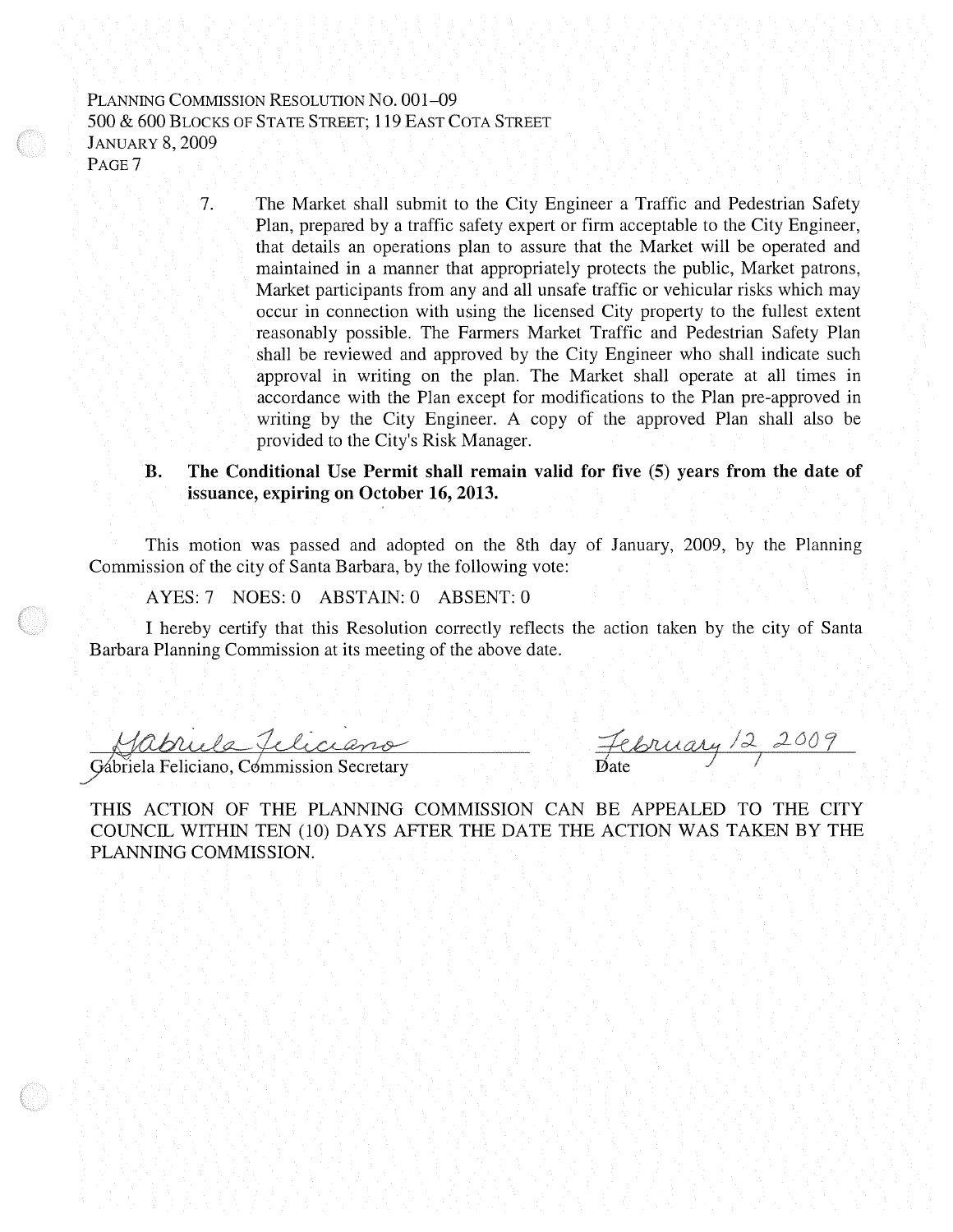#### PLANNING COMMISSION RESOLUTION NO. 001-09 500 & 600 BLOCKS OF STATE STREET; 119 EAST COTA STREET **JANUARY 8, 2009** PAGE<sub>7</sub>

7.

The Market shall submit to the City Engineer a Traffic and Pedestrian Safety Plan, prepared by a traffic safety expert or firm acceptable to the City Engineer, that details an operations plan to assure that the Market will be operated and maintained in a manner that appropriately protects the public, Market patrons, Market participants from any and all unsafe traffic or vehicular risks which may occur in connection with using the licensed City property to the fullest extent reasonably possible. The Farmers Market Traffic and Pedestrian Safety Plan shall be reviewed and approved by the City Engineer who shall indicate such approval in writing on the plan. The Market shall operate at all times in accordance with the Plan except for modifications to the Plan pre-approved in writing by the City Engineer. A copy of the approved Plan shall also be provided to the City's Risk Manager.

#### The Conditional Use Permit shall remain valid for five (5) years from the date of B. issuance, expiring on October 16, 2013.

This motion was passed and adopted on the 8th day of January, 2009, by the Planning Commission of the city of Santa Barbara, by the following vote:

AYES: 7 NOES: 0 ABSTAIN: 0 ABSENT: 0

I hereby certify that this Resolution correctly reflects the action taken by the city of Santa Barbara Planning Commission at its meeting of the above date.

<u>Gabriela Jeliciano</u>

February 12 2009

THIS ACTION OF THE PLANNING COMMISSION CAN BE APPEALED TO THE CITY COUNCIL WITHIN TEN (10) DAYS AFTER THE DATE THE ACTION WAS TAKEN BY THE PLANNING COMMISSION.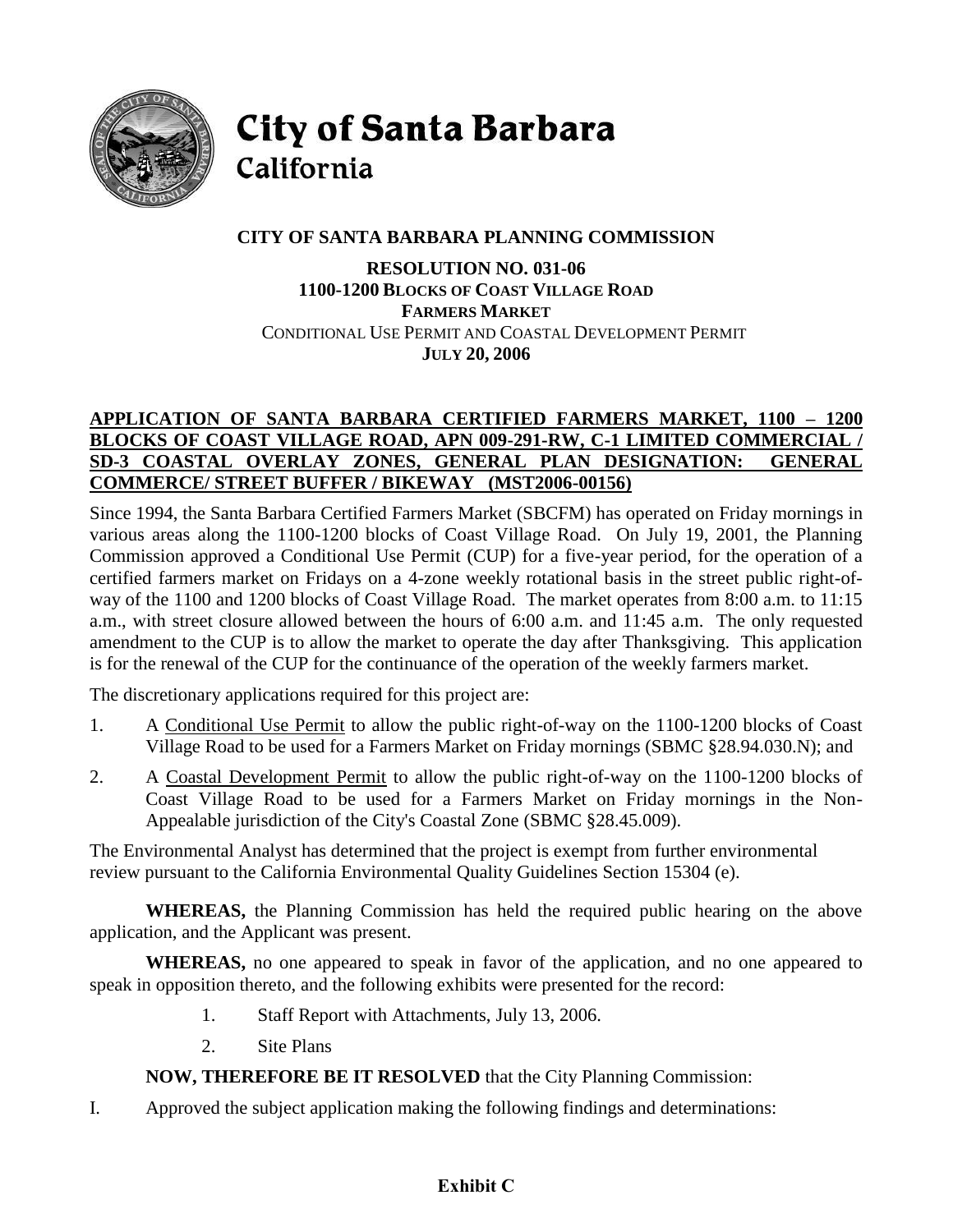

**City of Santa Barbara** California

# **CITY OF SANTA BARBARA PLANNING COMMISSION**

# **RESOLUTION NO. 031-06 1100-1200 BLOCKS OF COAST VILLAGE ROAD FARMERS MARKET** CONDITIONAL USE PERMIT AND COASTAL DEVELOPMENT PERMIT **JULY 20, 2006**

# **APPLICATION OF SANTA BARBARA CERTIFIED FARMERS MARKET, 1100 – 1200 BLOCKS OF COAST VILLAGE ROAD, APN 009-291-RW, C-1 LIMITED COMMERCIAL / SD-3 COASTAL OVERLAY ZONES, GENERAL PLAN DESIGNATION: GENERAL COMMERCE/ STREET BUFFER / BIKEWAY (MST2006-00156)**

Since 1994, the Santa Barbara Certified Farmers Market (SBCFM) has operated on Friday mornings in various areas along the 1100-1200 blocks of Coast Village Road. On July 19, 2001, the Planning Commission approved a Conditional Use Permit (CUP) for a five-year period, for the operation of a certified farmers market on Fridays on a 4-zone weekly rotational basis in the street public right-ofway of the 1100 and 1200 blocks of Coast Village Road. The market operates from 8:00 a.m. to 11:15 a.m., with street closure allowed between the hours of 6:00 a.m. and 11:45 a.m. The only requested amendment to the CUP is to allow the market to operate the day after Thanksgiving. This application is for the renewal of the CUP for the continuance of the operation of the weekly farmers market.

The discretionary applications required for this project are:

- 1. A Conditional Use Permit to allow the public right-of-way on the 1100-1200 blocks of Coast Village Road to be used for a Farmers Market on Friday mornings (SBMC §28.94.030.N); and
- 2. A Coastal Development Permit to allow the public right-of-way on the 1100-1200 blocks of Coast Village Road to be used for a Farmers Market on Friday mornings in the Non-Appealable jurisdiction of the City's Coastal Zone (SBMC §28.45.009).

The Environmental Analyst has determined that the project is exempt from further environmental review pursuant to the California Environmental Quality Guidelines Section 15304 (e).

**WHEREAS,** the Planning Commission has held the required public hearing on the above application, and the Applicant was present.

**WHEREAS,** no one appeared to speak in favor of the application, and no one appeared to speak in opposition thereto, and the following exhibits were presented for the record:

- 1. Staff Report with Attachments, July 13, 2006.
- 2. Site Plans

**NOW, THEREFORE BE IT RESOLVED** that the City Planning Commission:

I. Approved the subject application making the following findings and determinations:

# **Exhibit C**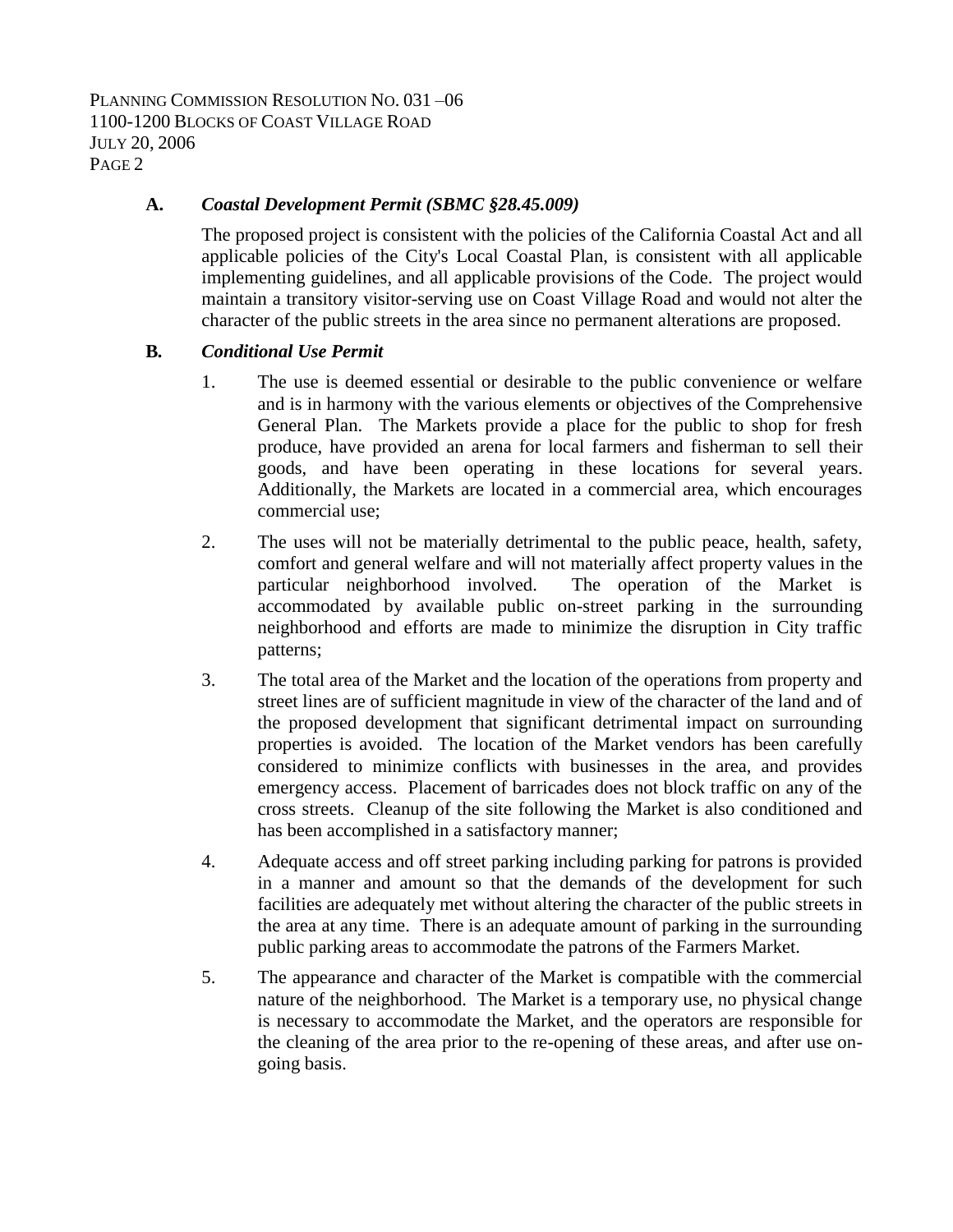PLANNING COMMISSION RESOLUTION NO. 031 –06 1100-1200 BLOCKS OF COAST VILLAGE ROAD JULY 20, 2006 PAGE 2

#### **A.** *Coastal Development Permit (SBMC §28.45.009)*

The proposed project is consistent with the policies of the California Coastal Act and all applicable policies of the City's Local Coastal Plan, is consistent with all applicable implementing guidelines, and all applicable provisions of the Code. The project would maintain a transitory visitor-serving use on Coast Village Road and would not alter the character of the public streets in the area since no permanent alterations are proposed.

#### **B***. Conditional Use Permit*

- 1. The use is deemed essential or desirable to the public convenience or welfare and is in harmony with the various elements or objectives of the Comprehensive General Plan. The Markets provide a place for the public to shop for fresh produce, have provided an arena for local farmers and fisherman to sell their goods, and have been operating in these locations for several years. Additionally, the Markets are located in a commercial area, which encourages commercial use;
- 2. The uses will not be materially detrimental to the public peace, health, safety, comfort and general welfare and will not materially affect property values in the particular neighborhood involved. The operation of the Market is accommodated by available public on-street parking in the surrounding neighborhood and efforts are made to minimize the disruption in City traffic patterns;
- 3. The total area of the Market and the location of the operations from property and street lines are of sufficient magnitude in view of the character of the land and of the proposed development that significant detrimental impact on surrounding properties is avoided. The location of the Market vendors has been carefully considered to minimize conflicts with businesses in the area, and provides emergency access. Placement of barricades does not block traffic on any of the cross streets. Cleanup of the site following the Market is also conditioned and has been accomplished in a satisfactory manner;
- 4. Adequate access and off street parking including parking for patrons is provided in a manner and amount so that the demands of the development for such facilities are adequately met without altering the character of the public streets in the area at any time. There is an adequate amount of parking in the surrounding public parking areas to accommodate the patrons of the Farmers Market.
- 5. The appearance and character of the Market is compatible with the commercial nature of the neighborhood. The Market is a temporary use, no physical change is necessary to accommodate the Market, and the operators are responsible for the cleaning of the area prior to the re-opening of these areas, and after use ongoing basis.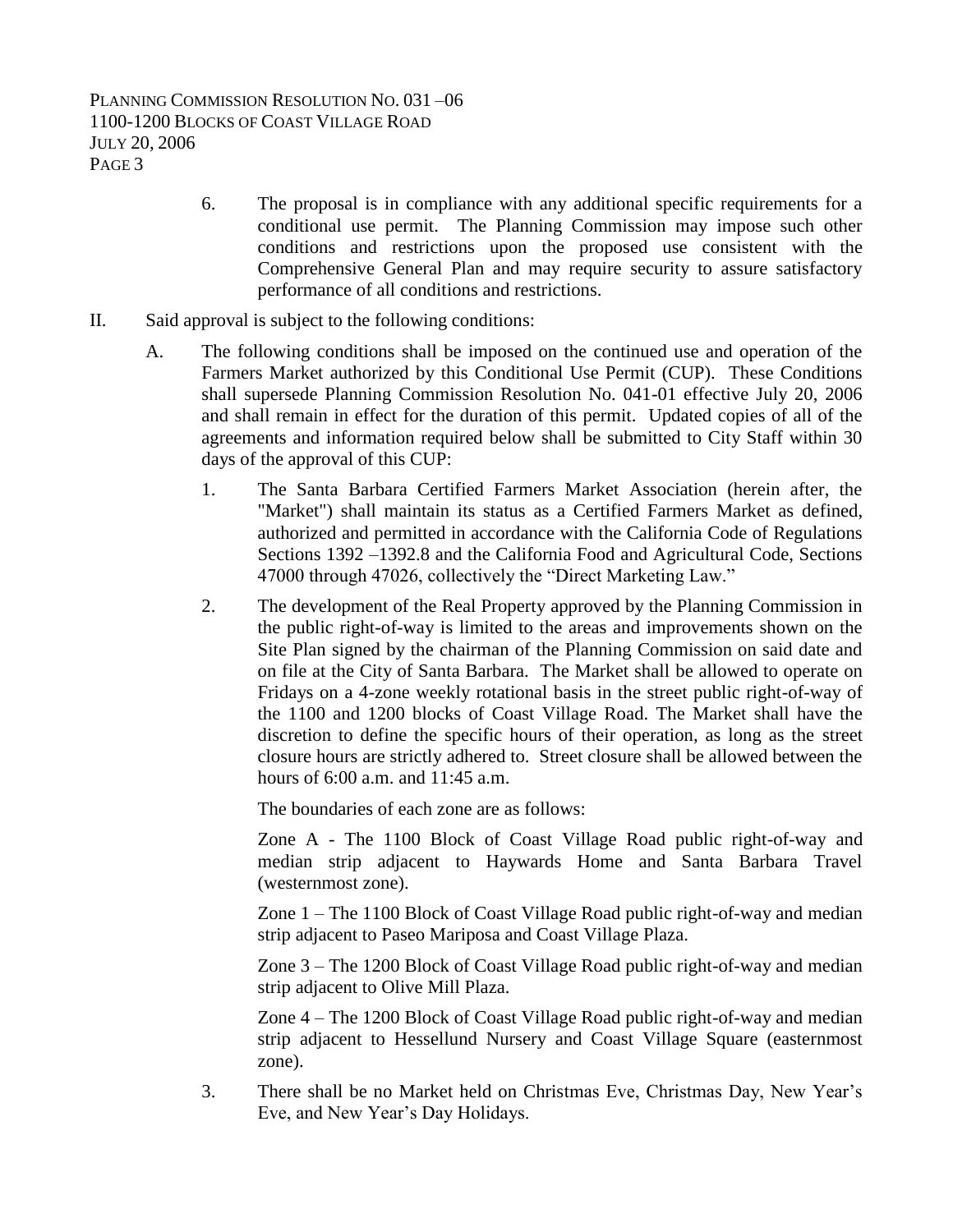- 6. The proposal is in compliance with any additional specific requirements for a conditional use permit. The Planning Commission may impose such other conditions and restrictions upon the proposed use consistent with the Comprehensive General Plan and may require security to assure satisfactory performance of all conditions and restrictions.
- II. Said approval is subject to the following conditions:
	- A. The following conditions shall be imposed on the continued use and operation of the Farmers Market authorized by this Conditional Use Permit (CUP). These Conditions shall supersede Planning Commission Resolution No. 041-01 effective July 20, 2006 and shall remain in effect for the duration of this permit. Updated copies of all of the agreements and information required below shall be submitted to City Staff within 30 days of the approval of this CUP:
		- 1. The Santa Barbara Certified Farmers Market Association (herein after, the "Market") shall maintain its status as a Certified Farmers Market as defined, authorized and permitted in accordance with the California Code of Regulations Sections 1392 –1392.8 and the California Food and Agricultural Code, Sections 47000 through 47026, collectively the "Direct Marketing Law."
		- 2. The development of the Real Property approved by the Planning Commission in the public right-of-way is limited to the areas and improvements shown on the Site Plan signed by the chairman of the Planning Commission on said date and on file at the City of Santa Barbara. The Market shall be allowed to operate on Fridays on a 4-zone weekly rotational basis in the street public right-of-way of the 1100 and 1200 blocks of Coast Village Road. The Market shall have the discretion to define the specific hours of their operation, as long as the street closure hours are strictly adhered to. Street closure shall be allowed between the hours of 6:00 a.m. and 11:45 a.m.

The boundaries of each zone are as follows:

Zone A - The 1100 Block of Coast Village Road public right-of-way and median strip adjacent to Haywards Home and Santa Barbara Travel (westernmost zone).

Zone 1 – The 1100 Block of Coast Village Road public right-of-way and median strip adjacent to Paseo Mariposa and Coast Village Plaza.

Zone 3 – The 1200 Block of Coast Village Road public right-of-way and median strip adjacent to Olive Mill Plaza.

Zone 4 – The 1200 Block of Coast Village Road public right-of-way and median strip adjacent to Hessellund Nursery and Coast Village Square (easternmost zone).

3. There shall be no Market held on Christmas Eve, Christmas Day, New Year's Eve, and New Year's Day Holidays.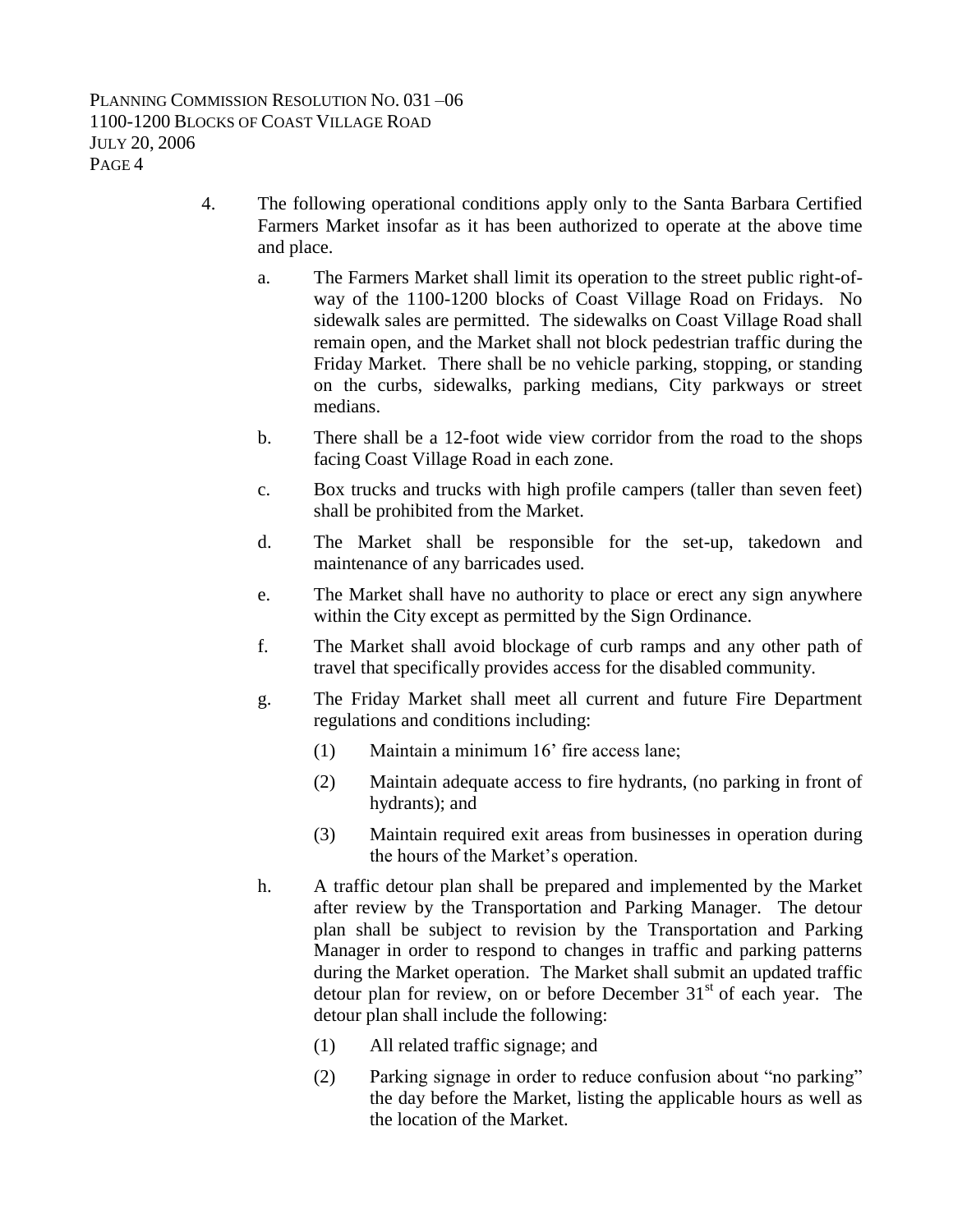- 4. The following operational conditions apply only to the Santa Barbara Certified Farmers Market insofar as it has been authorized to operate at the above time and place.
	- a. The Farmers Market shall limit its operation to the street public right-ofway of the 1100-1200 blocks of Coast Village Road on Fridays. No sidewalk sales are permitted. The sidewalks on Coast Village Road shall remain open, and the Market shall not block pedestrian traffic during the Friday Market. There shall be no vehicle parking, stopping, or standing on the curbs, sidewalks, parking medians, City parkways or street medians.
	- b. There shall be a 12-foot wide view corridor from the road to the shops facing Coast Village Road in each zone.
	- c. Box trucks and trucks with high profile campers (taller than seven feet) shall be prohibited from the Market.
	- d. The Market shall be responsible for the set-up, takedown and maintenance of any barricades used.
	- e. The Market shall have no authority to place or erect any sign anywhere within the City except as permitted by the Sign Ordinance.
	- f. The Market shall avoid blockage of curb ramps and any other path of travel that specifically provides access for the disabled community.
	- g. The Friday Market shall meet all current and future Fire Department regulations and conditions including:
		- (1) Maintain a minimum 16' fire access lane;
		- (2) Maintain adequate access to fire hydrants, (no parking in front of hydrants); and
		- (3) Maintain required exit areas from businesses in operation during the hours of the Market's operation.
	- h. A traffic detour plan shall be prepared and implemented by the Market after review by the Transportation and Parking Manager. The detour plan shall be subject to revision by the Transportation and Parking Manager in order to respond to changes in traffic and parking patterns during the Market operation. The Market shall submit an updated traffic detour plan for review, on or before December  $31<sup>st</sup>$  of each year. The detour plan shall include the following:
		- (1) All related traffic signage; and
		- (2) Parking signage in order to reduce confusion about "no parking" the day before the Market, listing the applicable hours as well as the location of the Market.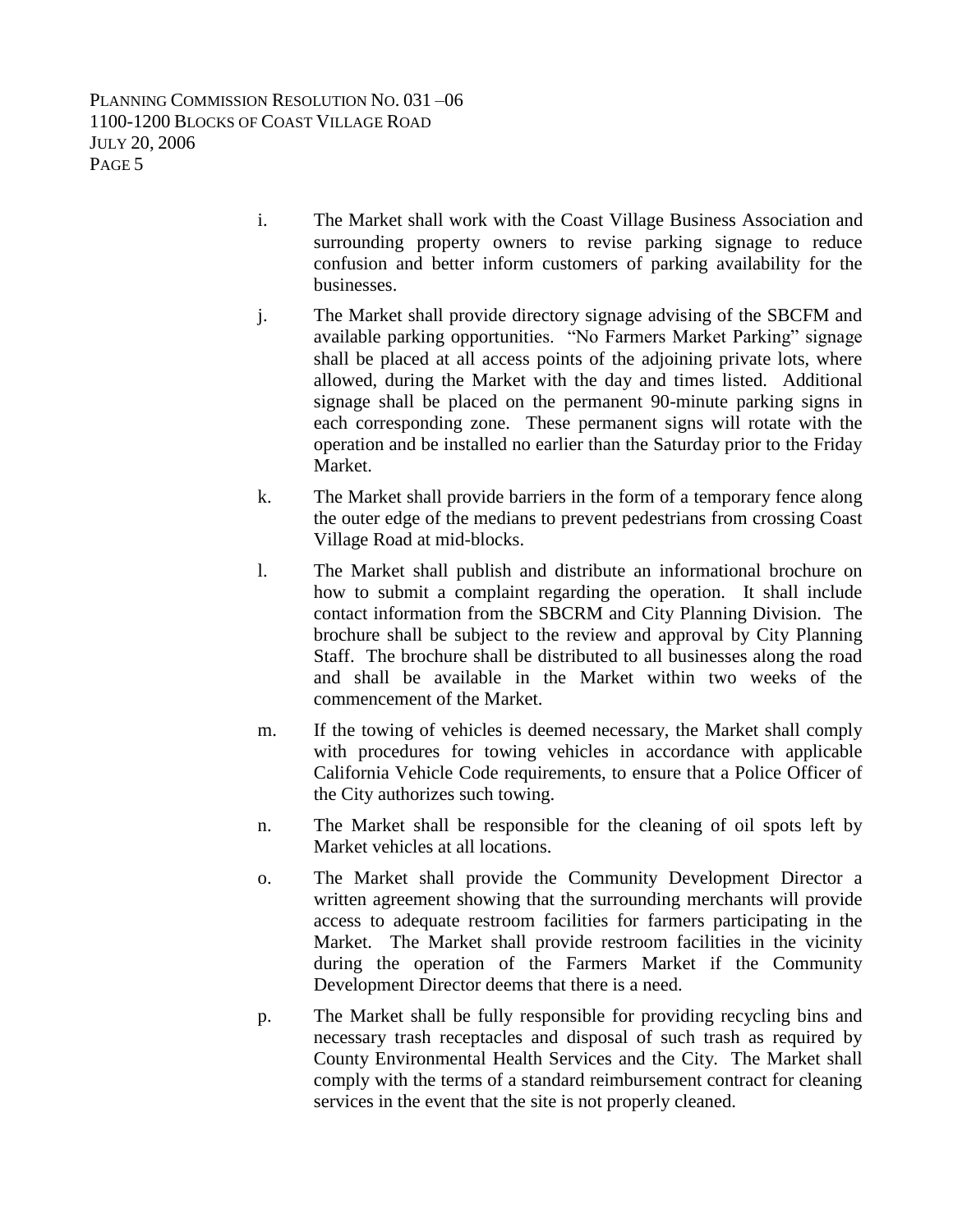PLANNING COMMISSION RESOLUTION NO. 031 –06 1100-1200 BLOCKS OF COAST VILLAGE ROAD JULY 20, 2006 PAGE 5

- i. The Market shall work with the Coast Village Business Association and surrounding property owners to revise parking signage to reduce confusion and better inform customers of parking availability for the businesses.
- j. The Market shall provide directory signage advising of the SBCFM and available parking opportunities. "No Farmers Market Parking" signage shall be placed at all access points of the adjoining private lots, where allowed, during the Market with the day and times listed. Additional signage shall be placed on the permanent 90-minute parking signs in each corresponding zone. These permanent signs will rotate with the operation and be installed no earlier than the Saturday prior to the Friday Market.
- k. The Market shall provide barriers in the form of a temporary fence along the outer edge of the medians to prevent pedestrians from crossing Coast Village Road at mid-blocks.
- l. The Market shall publish and distribute an informational brochure on how to submit a complaint regarding the operation. It shall include contact information from the SBCRM and City Planning Division. The brochure shall be subject to the review and approval by City Planning Staff. The brochure shall be distributed to all businesses along the road and shall be available in the Market within two weeks of the commencement of the Market.
- m. If the towing of vehicles is deemed necessary, the Market shall comply with procedures for towing vehicles in accordance with applicable California Vehicle Code requirements, to ensure that a Police Officer of the City authorizes such towing.
- n. The Market shall be responsible for the cleaning of oil spots left by Market vehicles at all locations.
- o. The Market shall provide the Community Development Director a written agreement showing that the surrounding merchants will provide access to adequate restroom facilities for farmers participating in the Market. The Market shall provide restroom facilities in the vicinity during the operation of the Farmers Market if the Community Development Director deems that there is a need.
- p. The Market shall be fully responsible for providing recycling bins and necessary trash receptacles and disposal of such trash as required by County Environmental Health Services and the City. The Market shall comply with the terms of a standard reimbursement contract for cleaning services in the event that the site is not properly cleaned.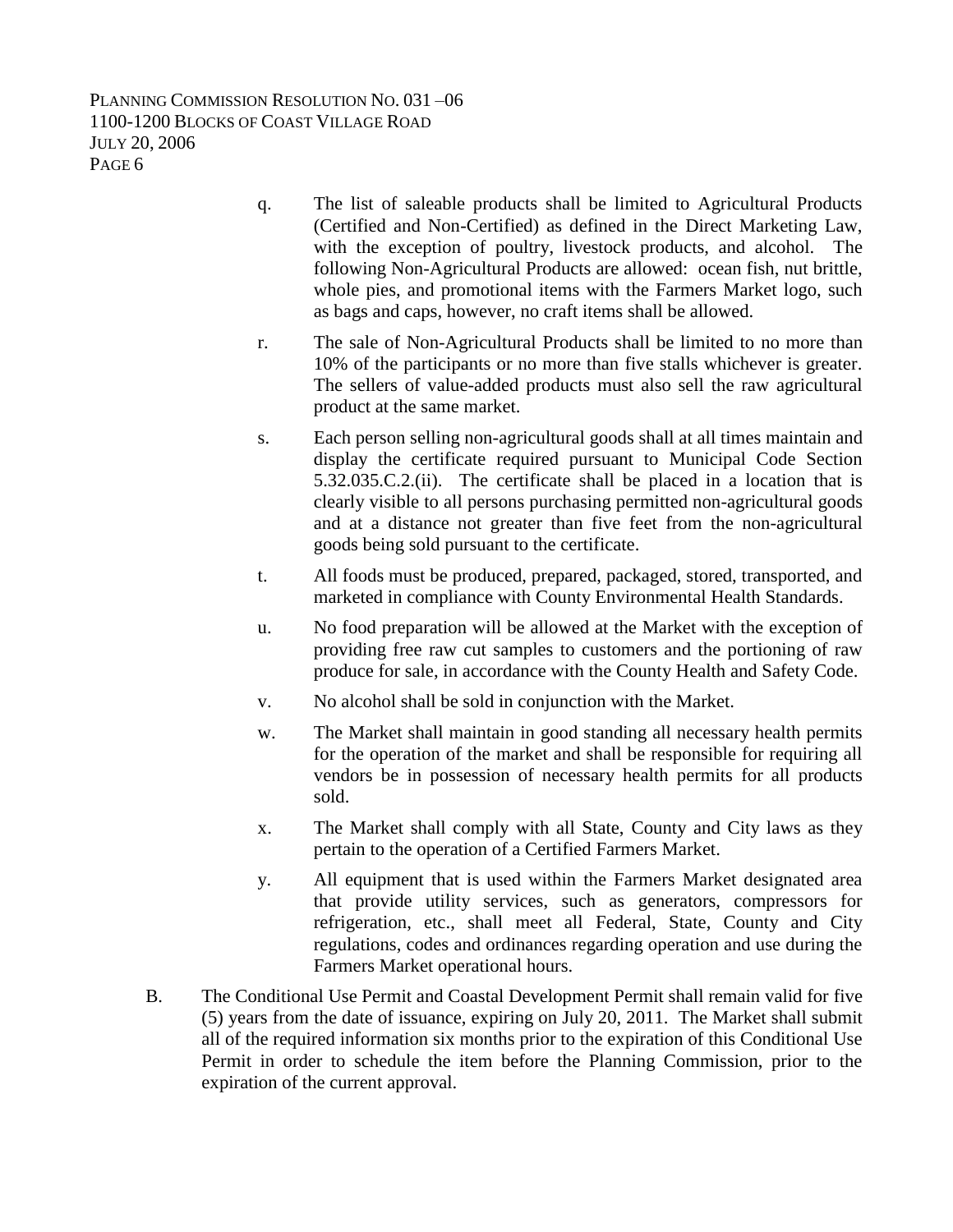PLANNING COMMISSION RESOLUTION NO. 031 –06 1100-1200 BLOCKS OF COAST VILLAGE ROAD JULY 20, 2006 PAGE 6

- q. The list of saleable products shall be limited to Agricultural Products (Certified and Non-Certified) as defined in the Direct Marketing Law, with the exception of poultry, livestock products, and alcohol. The following Non-Agricultural Products are allowed: ocean fish, nut brittle, whole pies, and promotional items with the Farmers Market logo, such as bags and caps, however, no craft items shall be allowed.
- r. The sale of Non-Agricultural Products shall be limited to no more than 10% of the participants or no more than five stalls whichever is greater. The sellers of value-added products must also sell the raw agricultural product at the same market.
- s. Each person selling non-agricultural goods shall at all times maintain and display the certificate required pursuant to Municipal Code Section 5.32.035.C.2.(ii). The certificate shall be placed in a location that is clearly visible to all persons purchasing permitted non-agricultural goods and at a distance not greater than five feet from the non-agricultural goods being sold pursuant to the certificate.
- t. All foods must be produced, prepared, packaged, stored, transported, and marketed in compliance with County Environmental Health Standards.
- u. No food preparation will be allowed at the Market with the exception of providing free raw cut samples to customers and the portioning of raw produce for sale, in accordance with the County Health and Safety Code.
- v. No alcohol shall be sold in conjunction with the Market.
- w. The Market shall maintain in good standing all necessary health permits for the operation of the market and shall be responsible for requiring all vendors be in possession of necessary health permits for all products sold.
- x. The Market shall comply with all State, County and City laws as they pertain to the operation of a Certified Farmers Market.
- y. All equipment that is used within the Farmers Market designated area that provide utility services, such as generators, compressors for refrigeration, etc., shall meet all Federal, State, County and City regulations, codes and ordinances regarding operation and use during the Farmers Market operational hours.
- B. The Conditional Use Permit and Coastal Development Permit shall remain valid for five (5) years from the date of issuance, expiring on July 20, 2011. The Market shall submit all of the required information six months prior to the expiration of this Conditional Use Permit in order to schedule the item before the Planning Commission, prior to the expiration of the current approval.